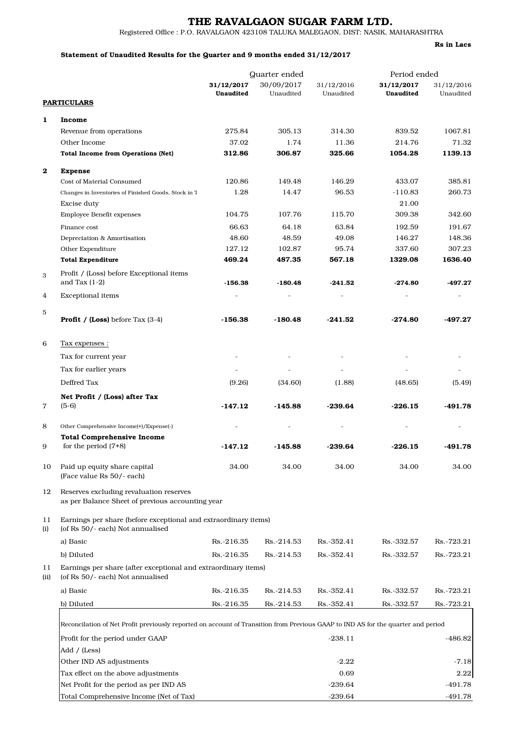## THE RAVALGAON SUGAR FARM LTD.

Rs in Lacs

Registered Office : P.O. RAVALGAON 423108 TALUKA MALEGAON, DIST: NASIK, MAHARASHTRA

## Statement of Unaudited Results for the Quarter and 9 months ended 31/12/2017

|            |                                                                                                                                  | Quarter ended           |                         |                         | Period ended            |                         |  |  |  |
|------------|----------------------------------------------------------------------------------------------------------------------------------|-------------------------|-------------------------|-------------------------|-------------------------|-------------------------|--|--|--|
|            |                                                                                                                                  | 31/12/2017<br>Unaudited | 30/09/2017<br>Unaudited | 31/12/2016<br>Unaudited | 31/12/2017<br>Unaudited | 31/12/2016<br>Unaudited |  |  |  |
|            | <b>PARTICULARS</b>                                                                                                               |                         |                         |                         |                         |                         |  |  |  |
| 1          | Income                                                                                                                           |                         |                         |                         |                         |                         |  |  |  |
|            | Revenue from operations                                                                                                          | 275.84                  | 305.13                  | 314.30                  | 839.52                  | 1067.81                 |  |  |  |
|            | Other Income                                                                                                                     | 37.02                   | 1.74                    | 11.36                   | 214.76                  | 71.32                   |  |  |  |
|            | <b>Total Income from Operations (Net)</b>                                                                                        | 312.86                  | 306.87                  | 325.66                  | 1054.28                 | 1139.13                 |  |  |  |
| $\bf 2$    | <b>Expense</b>                                                                                                                   |                         |                         |                         |                         |                         |  |  |  |
|            | Cost of Material Consumed                                                                                                        | 120.86                  | 149.48                  | 146.29                  | 433.07                  | 385.81                  |  |  |  |
|            | Changes in Inventories of Finished Goods, Stock in T                                                                             | 1.28                    | 14.47                   | 96.53                   | $-110.83$               | 260.73                  |  |  |  |
|            | <b>Excise duty</b>                                                                                                               |                         |                         |                         | 21.00                   |                         |  |  |  |
|            | Employee Benefit expenses                                                                                                        | 104.75                  | 107.76                  | 115.70                  | 309.38                  | 342.60                  |  |  |  |
|            | Finance cost                                                                                                                     | 66.63                   | 64.18                   | 63.84                   | 192.59                  | 191.67                  |  |  |  |
|            | Depreciation & Amortisation                                                                                                      | 48.60                   | 48.59                   | 49.08                   | 146.27                  | 148.36                  |  |  |  |
|            | Other Expenditure                                                                                                                | 127.12                  | 102.87                  | 95.74                   | 337.60                  | 307.23                  |  |  |  |
|            | <b>Total Expenditure</b>                                                                                                         | 469.24                  | 487.35                  | 567.18                  | 1329.08                 | 1636.40                 |  |  |  |
| 3          | Profit / (Loss) before Exceptional items                                                                                         |                         |                         |                         |                         |                         |  |  |  |
|            | and Tax $(1-2)$                                                                                                                  | $-156.38$               | $-180.48$               | $-241.52$               | $-274.80$               | $-497.27$               |  |  |  |
| 4          | <b>Exceptional</b> items                                                                                                         |                         |                         |                         |                         |                         |  |  |  |
| 5          |                                                                                                                                  |                         |                         |                         |                         |                         |  |  |  |
|            | <b>Profit</b> / $(Loss)$ before Tax $(3-4)$                                                                                      | $-156.38$               | $-180.48$               | -241.52                 | $-274.80$               | -497.27                 |  |  |  |
| 6          | Tax expenses :                                                                                                                   |                         |                         |                         |                         |                         |  |  |  |
|            | Tax for current year                                                                                                             |                         |                         |                         |                         |                         |  |  |  |
|            | Tax for earlier years                                                                                                            |                         |                         |                         |                         |                         |  |  |  |
|            | Deffred Tax                                                                                                                      | (9.26)                  | (34.60)                 | (1.88)                  | (48.65)                 | (5.49)                  |  |  |  |
|            | Net Profit / (Loss) after Tax                                                                                                    |                         |                         |                         |                         |                         |  |  |  |
| 7          | $(5-6)$                                                                                                                          | $-147.12$               | $-145.88$               | $-239.64$               | $-226.15$               | $-491.78$               |  |  |  |
| 8          | Other Comprehensive Income(+)/Expense(-)                                                                                         |                         |                         |                         |                         |                         |  |  |  |
|            | <b>Total Comprehensive Income</b><br>for the period $(7+8)$                                                                      |                         |                         |                         |                         |                         |  |  |  |
| 9          |                                                                                                                                  | $-147.12$               | $-145.88$               | $-239.64$               | $-226.15$               | -491.78                 |  |  |  |
| 10         | Paid up equity share capital<br>(Face value Rs 50/- each)                                                                        | 34.00                   | 34.00                   | 34.00                   | 34.00                   | 34.00                   |  |  |  |
| 12         | Reserves excluding revaluation reserves<br>as per Balance Sheet of previous accounting year                                      |                         |                         |                         |                         |                         |  |  |  |
| 11<br>(i)  | Earnings per share (before exceptional and extraordinary items)<br>(of Rs 50/- each) Not annualised                              |                         |                         |                         |                         |                         |  |  |  |
|            | a) Basic                                                                                                                         | Rs.-216.35              | Rs.-214.53              | Rs.-352.41              | Rs.-332.57              | Rs.-723.21              |  |  |  |
|            | b) Diluted                                                                                                                       | Rs.-216.35              | Rs.-214.53              | Rs.-352.41              | Rs.-332.57              | Rs.-723.21              |  |  |  |
| 11<br>(ii) | Earnings per share (after exceptional and extraordinary items)<br>(of Rs 50/- each) Not annualised                               |                         |                         |                         |                         |                         |  |  |  |
|            | a) Basic                                                                                                                         | Rs.-216.35              | Rs.-214.53              | Rs.-352.41              | Rs.-332.57              | Rs.-723.21              |  |  |  |
|            | b) Diluted                                                                                                                       | Rs.-216.35              | Rs.-214.53              | Rs.-352.41              | Rs.-332.57              | Rs.-723.21              |  |  |  |
|            | Reconcilation of Net Profit previously reported on account of Transition from Previous GAAP to IND AS for the quarter and period |                         |                         |                         |                         |                         |  |  |  |
|            | Profit for the period under GAAP                                                                                                 |                         |                         | $-238.11$               |                         | $-486.82$               |  |  |  |
|            | Add / (Less)                                                                                                                     |                         |                         |                         |                         |                         |  |  |  |
|            | Other IND AS adjustments                                                                                                         |                         |                         | $-2.22$                 |                         | $-7.18$                 |  |  |  |
|            | Tax effect on the above adjustments                                                                                              |                         |                         | 0.69                    |                         | 2.22                    |  |  |  |
|            | Net Profit for the period as per IND AS                                                                                          |                         |                         | $-239.64$               |                         | $-491.78$               |  |  |  |
|            | Total Comprehensive Income (Net of Tax)                                                                                          |                         |                         | $-239.64$               |                         | $-491.78$               |  |  |  |